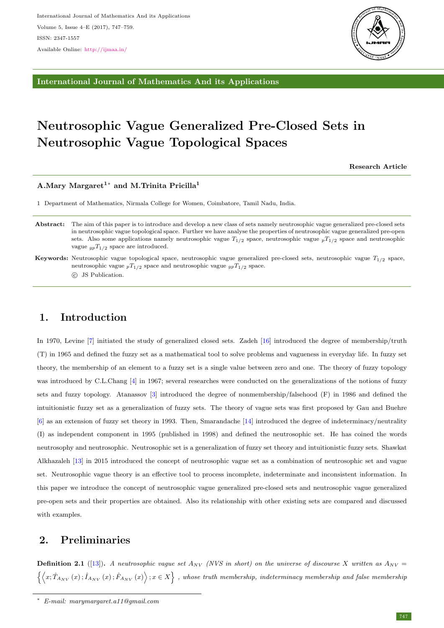

International Journal of Mathematics And its Applications

# Neutrosophic Vague Generalized Pre-Closed Sets in Neutrosophic Vague Topological Spaces

Research Article

### A.Mary Margaret<sup>1</sup><sup>∗</sup> and M.Trinita Pricilla<sup>1</sup>

1 Department of Mathematics, Nirmala College for Women, Coimbatore, Tamil Nadu, India.

- Abstract: The aim of this paper is to introduce and develop a new class of sets namely neutrosophic vague generalized pre-closed sets in neutrosophic vague topological space. Further we have analyse the properties of neutrosophic vague generalized pre-open sets. Also some applications namely neutrosophic vague  $T_{1/2}$  space, neutrosophic vague  $pT_{1/2}$  space and neutrosophic vague  $_{gp}T_{1/2}$  space are introduced.
- Keywords: Neutrosophic vague topological space, neutrosophic vague generalized pre-closed sets, neutrosophic vague  $T_{1/2}$  space, neutrosophic vague  $pT_{1/2}$  space and neutrosophic vague  $qpT_{1/2}$  space.

c JS Publication.

# 1. Introduction

In 1970, Levine [\[7\]](#page-12-0) initiated the study of generalized closed sets. Zadeh [\[16\]](#page-12-1) introduced the degree of membership/truth (T) in 1965 and defined the fuzzy set as a mathematical tool to solve problems and vagueness in everyday life. In fuzzy set theory, the membership of an element to a fuzzy set is a single value between zero and one. The theory of fuzzy topology was introduced by C.L.Chang [\[4\]](#page-11-0) in 1967; several researches were conducted on the generalizations of the notions of fuzzy sets and fuzzy topology. Atanassov [\[3\]](#page-11-1) introduced the degree of nonmembership/falsehood (F) in 1986 and defined the intuitionistic fuzzy set as a generalization of fuzzy sets. The theory of vague sets was first proposed by Gau and Buehre [\[6\]](#page-12-2) as an extension of fuzzy set theory in 1993. Then, Smarandache [\[14\]](#page-12-3) introduced the degree of indeterminacy/neutrality (I) as independent component in 1995 (published in 1998) and defined the neutrosophic set. He has coined the words neutrosophy and neutrosophic. Neutrosophic set is a generalization of fuzzy set theory and intuitionistic fuzzy sets. Shawkat Alkhazaleh [\[13\]](#page-12-4) in 2015 introduced the concept of neutrosophic vague set as a combination of neutrosophic set and vague set. Neutrosophic vague theory is an effective tool to process incomplete, indeterminate and inconsistent information. In this paper we introduce the concept of neutrosophic vague generalized pre-closed sets and neutrosophic vague generalized pre-open sets and their properties are obtained. Also its relationship with other existing sets are compared and discussed with examples.

## 2. Preliminaries

**Definition 2.1** ([\[13\]](#page-12-4)). A neutrosophic vague set  $A_{NV}$  (NVS in short) on the universe of discourse X written as  $A_{NV}$  $\left\{ \left\langle x;\hat{T}_{A_{NV}}\left(x\right);\hat{I}_{A_{NV}}\left(x\right);\hat{F}_{A_{NV}}\left(x\right)\right\rangle ;x\in X\right\}$  , whose truth membership, indeterminacy membership and false membership

<sup>∗</sup> E-mail: marymargaret.a11@gmail.com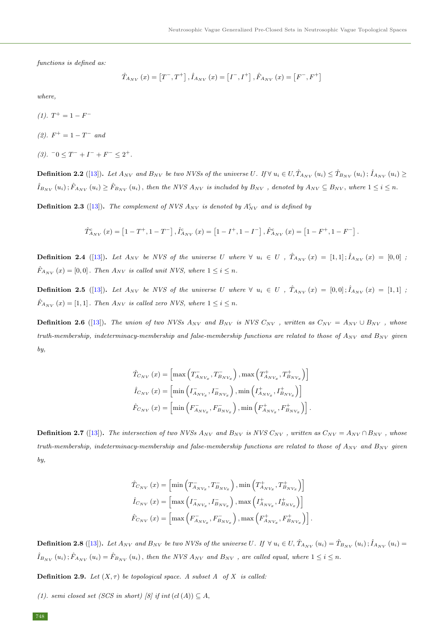functions is defined as:

$$
\hat{T}_{A_{NV}}\left(x\right)=\left[T^{-},T^{+}\right],\hat{I}_{A_{NV}}\left(x\right)=\left[I^{-},I^{+}\right],\hat{F}_{A_{NV}}\left(x\right)=\left[F^{-},F^{+}\right]
$$

where,

- $(1)$ .  $T^+ = 1 F^-$
- (2).  $F^+ = 1 T^-$  and
- $(3)$ .  $^{-}0 \leq T^{-} + I^{-} + F^{-} \leq 2^{+}$ .

**Definition 2.2** ([\[13\]](#page-12-4)). Let  $A_{NV}$  and  $B_{NV}$  be two NVSs of the universe U. If  $\forall u_i \in U, \hat{T}_{A_{NV}}(u_i) \leq \hat{T}_{B_{NV}}(u_i); \hat{I}_{A_{NV}}(u_i) \geq$  $\hat{I}_{B_{NV}}(u_i); \hat{F}_{A_{NV}}(u_i) \ge \hat{F}_{B_{NV}}(u_i)$ , then the NVS  $A_{NV}$  is included by  $B_{NV}$ , denoted by  $A_{NV} \subseteq B_{NV}$ , where  $1 \le i \le n$ .

**Definition 2.3** ([\[13\]](#page-12-4)). The complement of NVS  $A_{NV}$  is denoted by  $A_{NV}^c$  and is defined by

$$
\hat{T}_{A_{NV}}^{c}(x) = \left[1 - T^{+}, 1 - T^{-}\right], \hat{I}_{A_{NV}}^{c}(x) = \left[1 - I^{+}, 1 - I^{-}\right], \hat{F}_{A_{NV}}^{c}(x) = \left[1 - F^{+}, 1 - F^{-}\right].
$$

**Definition 2.4** ([\[13\]](#page-12-4)). Let  $A_{NV}$  be NVS of the universe U where  $\forall u_i \in U$ ,  $\hat{T}_{A_{NV}}(x) = [1,1]; \hat{I}_{A_{NV}}(x) = [0,0]$ ;  $\hat{F}_{A_{NV}}(x) = [0, 0]$ . Then  $A_{NV}$  is called unit NVS, where  $1 \leq i \leq n$ .

**Definition 2.5** ([\[13\]](#page-12-4)). Let  $A_{NV}$  be NVS of the universe U where  $\forall u_i \in U$ ,  $\hat{T}_{A_{NV}}(x) = [0,0]; \hat{I}_{A_{NV}}(x) = [1,1]$ ;  $\hat{F}_{A_{NV}}(x) = [1, 1]$ . Then  $A_{NV}$  is called zero NVS, where  $1 \leq i \leq n$ .

**Definition 2.6** ([\[13\]](#page-12-4)). The union of two NVSs  $A_{NV}$  and  $B_{NV}$  is NVS  $C_{NV}$ , written as  $C_{NV} = A_{NV} \cup B_{NV}$ , whose truth-membership, indeterminacy-membership and false-membership functions are related to those of  $A_{NV}$  and  $B_{NV}$  given by,

$$
\hat{T}_{C_{NV}}(x) = \left[ \max \left( T_{A_{NV_x}}^-, T_{B_{NV_x}}^-, \right), \max \left( T_{A_{NV_x}}^+, T_{B_{NV_x}}^+ \right) \right]
$$
\n
$$
\hat{I}_{C_{NV}}(x) = \left[ \min \left( I_{A_{NV_x}}, I_{B_{NV_x}}^-, \right), \min \left( I_{A_{NV_x}}^+, I_{B_{NV_x}}^+ \right) \right]
$$
\n
$$
\hat{F}_{C_{NV}}(x) = \left[ \min \left( F_{A_{NV_x}}, F_{B_{NV_x}}^-, \right), \min \left( F_{A_{NV_x}}, F_{B_{NV_x}}^+ \right) \right].
$$

**Definition 2.7** ([\[13\]](#page-12-4)). The intersection of two NVSs  $A_{NV}$  and  $B_{NV}$  is NVS  $C_{NV}$ , written as  $C_{NV} = A_{NV} \cap B_{NV}$ , whose truth-membership, indeterminacy-membership and false-membership functions are related to those of  $A_{NV}$  and  $B_{NV}$  given by,

$$
\hat{T}_{C_{NV}}(x) = \left[ \min \left( T_{A_{NV_x}}^-, T_{B_{NV_x}}^-\right), \min \left( T_{A_{NV_x}}^+, T_{B_{NV_x}}^+\right) \right]
$$
\n
$$
\hat{I}_{C_{NV}}(x) = \left[ \max \left( I_{A_{NV_x}}, I_{B_{NV_x}}^-\right), \max \left( I_{A_{NV_x}}, I_{B_{NV_x}}^+\right) \right]
$$
\n
$$
\hat{F}_{C_{NV}}(x) = \left[ \max \left( F_{A_{NV_x}}, F_{B_{NV_x}}^-\right), \max \left( F_{A_{NV_x}}, F_{B_{NV_x}}^+\right) \right].
$$

**Definition 2.8** ([\[13\]](#page-12-4)). Let  $A_{NV}$  and  $B_{NV}$  be two NVSs of the universe U. If  $\forall u_i \in U$ ,  $\hat{T}_{A_{NV}}(u_i) = \hat{T}_{B_{NV}}(u_i)$ ;  $\hat{I}_{A_{NV}}(u_i) =$  $\hat{I}_{B_{NV}}(u_i); \hat{F}_{A_{NV}}(u_i) = \hat{F}_{B_{NV}}(u_i)$ , then the NVS  $A_{NV}$  and  $B_{NV}$ , are called equal, where  $1 \le i \le n$ .

**Definition 2.9.** Let  $(X, \tau)$  be topological space. A subset A of X is called:

(1). semi closed set (SCS in short) [8] if int (cl(A))  $\subseteq$  A,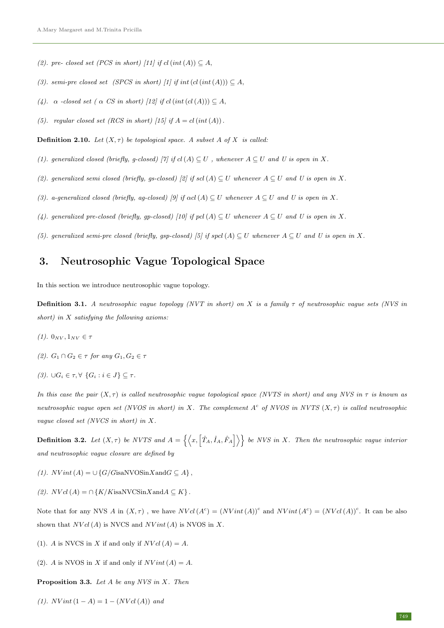- (2). pre- closed set (PCS in short) [11] if cl(int(A))  $\subseteq$  A,
- (3). semi-pre closed set (SPCS in short) [1] if int  $(cl(int(A))) \subseteq A$ ,
- (4).  $\alpha$  -closed set (  $\alpha$  CS in short) [12] if cl(int(cl(A)))  $\subseteq$  A,
- (5). regular closed set (RCS in short) [15] if  $A = cl(int(A))$ .

**Definition 2.10.** Let  $(X, \tau)$  be topological space. A subset A of X is called:

- (1). generalized closed (briefly, g-closed) [7] if cl(A)  $\subseteq U$ , whenever  $A \subseteq U$  and U is open in X.
- (2). generalized semi closed (briefly, gs-closed) [2] if scl(A)  $\subseteq U$  whenever  $A \subseteq U$  and U is open in X.
- (3). a-generalized closed (briefly, ag-closed) [9] if  $\alpha c(A) \subseteq U$  whenever  $A \subseteq U$  and U is open in X.
- (4). generalized pre-closed (briefly, gp-closed) [10] if pcl(A)  $\subseteq U$  whenever  $A \subseteq U$  and U is open in X.
- (5). generalized semi-pre closed (briefly, gsp-closed) [5] if spcl(A)  $\subseteq U$  whenever  $A \subseteq U$  and U is open in X.

# 3. Neutrosophic Vague Topological Space

In this section we introduce neutrosophic vague topology.

**Definition 3.1.** A neutrosophic vague topology (NVT in short) on X is a family  $\tau$  of neutrosophic vague sets (NVS in short) in  $X$  satisfying the following axioms:

- (1).  $0_{NV}, 1_{NV} \in \tau$
- (2).  $G_1 \cap G_2 \in \tau$  for any  $G_1, G_2 \in \tau$
- (3). ∪ $G_i \in \tau$ ,  $\forall$   $\{G_i : i \in J\} \subseteq \tau$ .

In this case the pair  $(X, \tau)$  is called neutrosophic vague topological space (NVTS in short) and any NVS in  $\tau$  is known as neutrosophic vague open set (NVOS in short) in X. The complement  $A^c$  of NVOS in NVTS  $(X, \tau)$  is called neutrosophic vague closed set (NVCS in short) in X.

**Definition 3.2.** Let  $(X, \tau)$  be NVTS and  $A = \{ \langle x, [\hat{T}_A, \hat{I}_A, \hat{F}_A] \rangle \}$  be NVS in X. Then the neutrosophic vague interior and neutrosophic vague closure are defined by

- (1).  $N Vint(A) = \bigcup \{G/G$ isaNVOSin $X$ and $G \subseteq A\}$ ,
- (2).  $NVol(A) = \bigcap \{K/K$ isaNVCSin $X$ and $A \subseteq K\}$ .

Note that for any NVS A in  $(X, \tau)$ , we have  $NVal(A^c) = (NVint(A))^c$  and  $NVint(A^c) = (NVal(A))^c$ . It can be also shown that  $NVal(A)$  is NVCS and  $NVint(A)$  is NVOS in X.

- (1). A is NVCS in X if and only if  $NVal(A) = A$ .
- (2). A is NVOS in X if and only if  $NVint(A) = A$ .

**Proposition 3.3.** Let  $A$  be any NVS in  $X$ . Then

(1).  $N Vint (1 - A) = 1 - (N V c l (A))$  and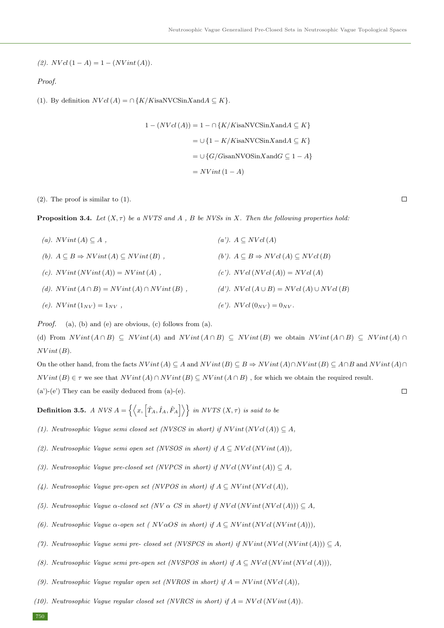(2).  $NVal(1 - A) = 1 - (NVint(A)).$ 

Proof.

(1). By definition  $NVal(A) = \bigcap \{K/K$ isaNVCSin $X$ and $A \subseteq K\}$ .

$$
1 - (NVol(A)) = 1 - \bigcap \{K/K \text{isa}NVC\text{Sin}X \text{and} A \subseteq K\}
$$

$$
= \bigcup \{1 - K/K \text{isa}NVC\text{Sin}X \text{and} A \subseteq K\}
$$

$$
= \bigcup \{G/G \text{isan}NVO\text{Sin}X \text{and} G \subseteq 1 - A\}
$$

$$
= NVint (1 - A)
$$

(2). The proof is similar to (1).

**Proposition 3.4.** Let  $(X, \tau)$  be a NVTS and A, B be NVSs in X. Then the following properties hold:

| (a). $N Vint (A) \subset A$ ,                                  | $(a')$ . $A \subseteq NVol(A)$                              |
|----------------------------------------------------------------|-------------------------------------------------------------|
| (b). $A \subseteq B \Rightarrow NVint(A) \subseteq NVint(B)$ , | (b'). $A \subseteq B \Rightarrow NVal(A) \subseteq NVal(B)$ |
| (c). $N Vint (N Vint (A)) = N Vint (A)$ ,                      | (c'). $NVal(NVal(A)) = NVal(A)$                             |
| (d). $N Vint (A \cap B) = N Vint (A) \cap N Vint (B)$ ,        | (d'). NVcl $(A \cup B) = NVal(A) \cup NVal(B)$              |
| (e). $N Vint (1_{NV}) = 1_{NV}$ ,                              | (e'). NVcl $(0_{NV}) = 0_{NV}$ .                            |

*Proof.* (a), (b) and (e) are obvious, (c) follows from (a).

(d) From  $NVint(A \cap B) \subseteq NVint(A)$  and  $NVint(A \cap B) \subseteq NVint(B)$  we obtain  $NVint(A \cap B) \subseteq NVint(A) \cap B$  $NVint(B)$ .

On the other hand, from the facts  $NVint(A) \subseteq A$  and  $NVint(B) \subseteq B \Rightarrow NVint(A) \cap NVint(B) \subseteq A \cap B$  and  $NVint(A) \cap B$  $NVint(B) \in \tau$  we see that  $NVint(A) \cap NVint(B) \subseteq NVint(A \cap B)$ , for which we obtain the required result. (a')-(e') They can be easily deduced from (a)-(e).

**Definition 3.5.** A NVS  $A = \{ \langle x, [\hat{T}_A, \hat{I}_A, \hat{F}_A] \rangle \}$  in NVTS  $(X, \tau)$  is said to be

- (1). Neutrosophic Vague semi closed set (NVSCS in short) if  $N Vint(N V c l(A)) \subseteq A$ ,
- (2). Neutrosophic Vague semi open set (NVSOS in short) if  $A \subseteq NVal(NVint(A)),$
- (3). Neutrosophic Vague pre-closed set (NVPCS in short) if  $NVol(NVint(A)) \subseteq A$ ,
- (4). Neutrosophic Vague pre-open set (NVPOS in short) if  $A \subseteq N Vint(N V c l(A)),$
- (5). Neutrosophic Vague  $\alpha$ -closed set (NV  $\alpha$  CS in short) if NV cl(NV int(NV cl(A)))  $\subseteq A$ ,
- (6). Neutrosophic Vague  $\alpha$ -open set (  $NVaOS$  in short) if  $A \subseteq NVint(NVal(NVint(A))),$
- (7). Neutrosophic Vaque semi pre- closed set (NVSPCS in short) if NV int(NV cl(NV int(A)))  $\subset A$ ,
- (8). Neutrosophic Vague semi pre-open set (NVSPOS in short) if  $A \subseteq N$ V cl(NV int(NV cl(A))),
- (9). Neutrosophic Vague regular open set (NVROS in short) if  $A = N Vint(N V c l(A)),$
- (10). Neutrosophic Vaque regular closed set (NVRCS in short) if  $A = N$ Vcl(NV int(A)).

750

 $\Box$ 

 $\Box$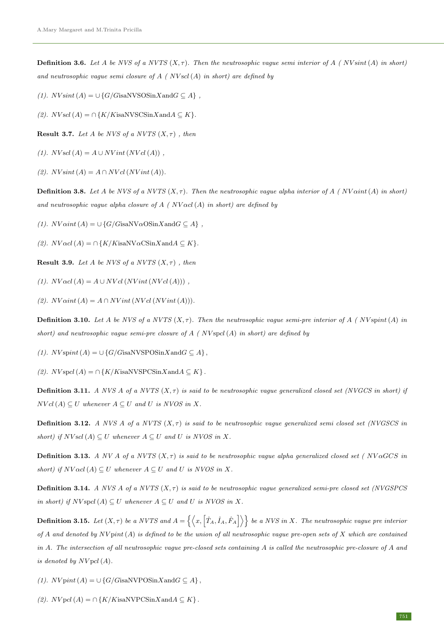**Definition 3.6.** Let A be NVS of a NVTS  $(X, \tau)$ . Then the neutrosophic vague semi interior of A ( NV sint (A) in short) and neutrosophic vague semi closure of  $A$  (  $N$ Vscl $(A)$  in short) are defined by

(1).  $NV\sin t(A) = \bigcup \{G/G\mathrm{isaNVSOSin}X\mathrm{and}G\subseteq A\}$ ,

(2).  $NV$ scl(A) = ∩ {K/KisaNVSCSinXand $A \subseteq K$ }.

**Result 3.7.** Let A be NVS of a NVTS  $(X, \tau)$ , then

(1).  $NV$ scl(A) =  $A \cup NV$ int(NV cl(A)),

(2).  $NV\text{sint}(A) = A \cap NVcl(NV\text{int}(A)).$ 

**Definition 3.8.** Let A be NVS of a NVTS  $(X, \tau)$ . Then the neutrosophic vague alpha interior of A (NV  $\alpha$ int(A) in short) and neutrosophic vague alpha closure of  $A \, (N$ V  $\alpha$ cl(A) in short) are defined by

(1).  $NV\alpha int(A) = \cup {G/G}$ isaNV $\alpha$ OSinXand $G \subseteq A$ },

(2).  $NVacl(A) = \bigcap \{K/K$ isaNV $\alpha$ CSin $X$ and $A \subseteq K\}$ .

**Result 3.9.** Let A be NVS of a NVTS  $(X, \tau)$ , then

(1).  $NVacl(A) = A \cup NVal(NVint(NVol(A)))$ ,

(2).  $NV\alpha int(A) = A \cap NVint(NVcl(NVint(A))).$ 

**Definition 3.10.** Let A be NVS of a NVTS  $(X, \tau)$ . Then the neutrosophic vague semi-pre interior of A (NV spint(A) in short) and neutrosophic vague semi-pre closure of  $A$  (NV spcl(A) in short) are defined by

(1).  $N V$ spint $(A) = \bigcup \{G/G$ isaNVSPOSin $X$ and $G \subseteq A\}$ ,

(2).  $N V$ spcl(A) = ∩{K/KisaNVSPCSinXand $A \subseteq K$ }.

**Definition 3.11.** A NVS A of a NVTS  $(X, \tau)$  is said to be neutrosophic vague generalized closed set (NVGCS in short) if  $NVol(A) \subseteq U$  whenever  $A \subseteq U$  and U is NVOS in X.

**Definition 3.12.** A NVS A of a NVTS  $(X, \tau)$  is said to be neutrosophic vague generalized semi closed set (NVGSCS in short) if  $NV$ scl(A)  $\subseteq U$  whenever  $A \subseteq U$  and U is NVOS in X.

**Definition 3.13.** A NV A of a NVTS  $(X, \tau)$  is said to be neutrosophic vague alpha generalized closed set ( NV $\alpha$ GCS in short) if  $NVacl(A) \subseteq U$  whenever  $A \subseteq U$  and U is NVOS in X.

**Definition 3.14.** A NVS A of a NVTS  $(X, \tau)$  is said to be neutrosophic vague generalized semi-pre closed set (NVGSPCS) in short) if  $N V$  spcl(A)  $\subseteq U$  whenever  $A \subseteq U$  and U is NVOS in X.

**Definition 3.15.** Let  $(X, \tau)$  be a NVTS and  $A = \{ \langle x, [\hat{T}_A, \hat{I}_A, \hat{F}_A] \rangle \}$  be a NVS in X. The neutrosophic vague pre interior of A and denoted by  $N V$  pint(A) is defined to be the union of all neutrosophic vague pre-open sets of X which are contained in A. The intersection of all neutrosophic vague pre-closed sets containing  $A$  is called the neutrosophic pre-closure of  $A$  and is denoted by  $NVol(A)$ .

(1).  $N V$ pint(A) = ∪{G/GisaNVPOSinXandG  $\subseteq$  A},

(2).  $NVpcl(A) = \bigcap \{K/K$ isaNVPCSin $X$ and $A \subseteq K\}$ .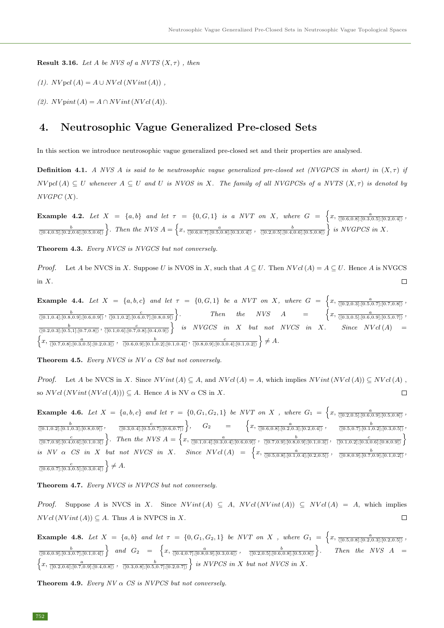**Result 3.16.** Let A be NVS of a NVTS  $(X, \tau)$ , then

(1).  $NVol(A) = A \cup NVol(NVint(A))$ ,

(2).  $N V$ pint $(A) = A \cap N V$ int $(N V c l(A)).$ 

## 4. Neutrosophic Vague Generalized Pre-closed Sets

In this section we introduce neutrosophic vague generalized pre-closed set and their properties are analysed.

**Definition 4.1.** A NVS A is said to be neutrosophic vague generalized pre-closed set (NVGPCS in short) in  $(X, \tau)$  if  $NVpd(A) \subseteq U$  whenever  $A \subseteq U$  and U is NVOS in X. The family of all NVGPCSs of a NVTS  $(X, \tau)$  is denoted by  $NVGPC(X)$ .

**Example 4.2.** Let  $X = \{a, b\}$  and let  $\tau = \{0, G, 1\}$  is a NVT on X, where  $G = \left\{x, \frac{a}{\sqrt{(0.6, 0.8], [0.3, 0.5], [0.2, 0.4]}}\right\}$  $\frac{b}{\langle [0.4,0.5];[0.2,0.6];[0.5,0.6]\rangle}$ . Then the NVS  $A = \left\{x, \frac{a}{\langle [0.6,0.7];[0.5,0.8];[0.3,0.4]\rangle}, \frac{b}{\langle [0.2,0.5];[0.4,0.6];[0.5,0.8]\rangle}\right\}$  is NVGPCS in X.

Theorem 4.3. Every NVCS is NVGCS but not conversely.

*Proof.* Let A be NVCS in X. Suppose U is NVOS in X, such that  $A \subseteq U$ . Then  $NVal(A) = A \subseteq U$ . Hence A is NVGCS in X.  $\Box$ 

**Example 4.4.** Let  $X = \{a, b, c\}$  and let  $\tau = \{0, G, 1\}$  be a NVT on X, where  $G = \{x, \frac{a}{\sqrt{(0.2, 0.3], [0.5, 0.7], [0.7, 0.8]\}}},$  $\frac{b}{\langle [0.1, 0.4]; [0.8, 0.9]; [0.6, 0.9]\rangle}, \frac{c}{\langle [0.1, 0.2]; [0.6, 0.7]; [0.8, 0.9]\rangle}$ . Then the NVS  $A = \begin{cases} x, \frac{a}{([0.3,0.5];[0.6,0.9];[0.5,0.7])}, \end{cases}$  $\frac{b}{\sqrt{(0.2,0.3];[0.5,1];[0.7,0.8])}}$ ,  $\frac{c}{\sqrt{(0.1,0.6];[0.7,0.8];[0.4,0.9])}}$  is NVGCS in X but not NVCS in X. Since NV cl(A) =  $\left\{x, \frac{a}{\sqrt{(0.7,0.8];[0.3,0.5];[0.2,0.3])}}\right\}, \frac{b}{\sqrt{(0.6,0.9];[0.1,0.2];[0.1,0.4])}}\right\}, \frac{c}{\sqrt{(0.8,0.9];[0.3,0.4];[0.1,0.2])}}$   $\neq A$ .

**Theorem 4.5.** Every NVCS is  $NV \alpha$  CS but not conversely.

*Proof.* Let A be NVCS in X. Since  $N Vint(A) \subseteq A$ , and  $N Vol(A) = A$ , which implies  $N Vint(N Vol(A)) \subseteq N Vol(A)$ , so  $NVol(NVint(NVol(A))) \subseteq A$ . Hence A is NV  $\alpha$  CS in X.  $\Box$ 

**Example 4.6.** Let  $X = \{a, b, c\}$  and let  $\tau = \{0, G_1, G_2, 1\}$  be NVT on X, where  $G_1 = \left\{x, \frac{a}{\sqrt{(0.2, 0.5)}, [0.6, 0.9], [0.5, 0.8]} \right\}$  $\frac{b}{\langle [0.1,0.2]; [0.1,0.3]; [0.8,0.9]\rangle}, \quad \frac{c}{\langle [0.3,0.4]; [0.5,0.7]; [0.6,0.7]\rangle}, \quad G_2 = \left\{ x, \frac{a}{\langle [0.6,0.8]; [0.2,0.3]; [0.2,0.4]\rangle}, \quad \frac{b}{\langle [0.5,0.7]; [0.1,0.2]; [0.3,0.5]\rangle}, \right\}$  $\frac{c}{\langle [0.7,0.9];[0.4,0.6];[0.1,0.3]\rangle}$ . Then the NVS  $A = \left\{x, \frac{a}{\langle [0.1,0.4];[0.3,0.4];[0.6,0.9]\rangle}, \frac{b}{\langle [0.7,0.9];[0.8,0.9];[0.1,0.3]\rangle}, \frac{c}{\langle [0.1,0.2];[0.3,0.6];[0.8,0.9]\rangle}\right\}$ is NV  $\alpha$  CS in X but not NVCS in X. Since NV cl(A) =  $\begin{cases} x, \frac{a}{([0.5,0.8];[0.1,0.4];[0.2,0.5])}, \frac{b}{([0.8,0.9];[0.7,0.9];[0.1,0.2])}, \end{cases}$  $\frac{c}{\langle [0.6, 0.7]; [0.3, 0.5]; [0.3, 0.4]\rangle} \Big\} \neq A.$ 

Theorem 4.7. Every NVCS is NVPCS but not conversely.

Proof. Suppose A is NVCS in X. Since  $N Vint(A) \subseteq A$ ,  $N Vol (N Vint (A)) \subseteq N Vol (A) = A$ , which implies  $NVal(NVint(A)) \subseteq A$ . Thus A is NVPCS in X.  $\Box$ 

**Example 4.8.** Let  $X = \{a, b\}$  and let  $\tau = \{0, G_1, G_2, 1\}$  be NVT on X, where  $G_1 = \left\{x, \frac{a}{\sqrt{(0.5, 0.8], [0.2, 0.3], [0.2, 0.5])}}\right\}$  $\frac{b}{\langle [0.6,0.9];[0.3,0.7];[0.1,0.4]\rangle}$  and  $G_2 = \left\{x, \frac{a}{\langle [0.4,0.7];[0.8,0.9];[0.3,0.6]\rangle}, \frac{b}{\langle [0.2,0.5];[0.6,0.8];[0.5,0.8]\rangle}\right\}$ Then the NVS  $A =$  $\left\{x, \frac{a}{\sqrt{(0.2,0.6]; [0.7,0.9]; [0.4,0.8])}} \right\}$  is NVPCS in X but not NVCS in X.

**Theorem 4.9.** Every  $NV \alpha$  CS is NVPCS but not conversely.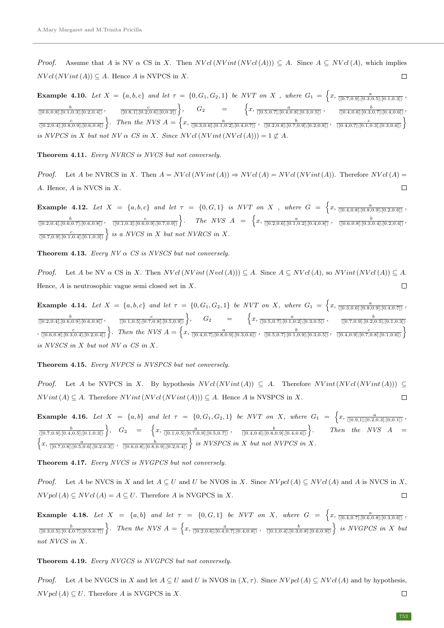*Proof.* Assume that A is NV  $\alpha$  CS in X. Then  $NVol(NVint(NVol(A))) \subseteq A$ . Since  $A \subseteq NVol(A)$ , which implies  $NVol(NVint(A)) \subseteq A$ . Hence A is NVPCS in X.  $\Box$ 

**Example 4.10.** Let  $X = \{a, b, c\}$  and let  $\tau = \{0, G_1, G_2, 1\}$  be NVT on X, where  $G_1 = \left\{x, \frac{a}{([0.7, 0.9]; [0.3, 0.5]; [0.1, 0.3])}\right\}$  $\frac{b}{\langle [0.6,0.8]; [0.1,0.3]; [0.2,0.4]\rangle}, \qquad \frac{c}{\langle [0.8,1]; [0.2,0.6]; [0,0.2]\rangle} \Big\}, \qquad G_2 \qquad = \qquad \left\{ x, \frac{a}{\langle [0.5,0.7]; [0.4,0.8]; [0.3,0.5]\rangle} \right\}, \qquad \frac{b}{\langle [0.4,0.6]; [0.3,0.7]; [0.4,0.6]\rangle}$  $\frac{c}{\langle [0.2,0.4];[0.8,0.9];[0.6,0.8]\rangle}$ . Then the NVS  $A = \left\{x, \frac{a}{\langle [0.3,0.6];[0.1,0.2];[0.4,0.7]\rangle}, \frac{b}{\langle [0.2,0.8];[0.7,0.9];[0.2,0.8]\rangle}, \frac{c}{\langle [0.4,0.7];[0.1,0.3];[0.3,0.6]\rangle}\right\}$ is NVPCS in X but not NV  $\alpha$  CS in X. Since NV cl(NV int(NV cl(A))) = 1  $\not\subset A$ .

Theorem 4.11. Every NVRCS is NVCS but not conversely.

*Proof.* Let A be NVRCS in X. Then  $A = NVal(NVint(A)) \Rightarrow NVal(A) = NVal(NVint(A))$ . Therefore NVcl(A) = A. Hence, A is NVCS in X.  $\Box$ 

**Example 4.12.** Let  $X = \{a, b, c\}$  and let  $\tau = \{0, G, 1\}$  is NVT on X, where  $G = \{x, \frac{a}{\sqrt{(0.4, 0.8], [0.8, 0.9], [0.2, 0.6]}}\}$  $\frac{b}{\langle [0.2,0.4], [0.6,0.7], [0.6,0.8]\rangle}, \quad \frac{c}{\langle [0.1,0.3], [0.6,0.9], [0.7,0.9]\rangle}$ . The NVS  $A = \begin{cases} x, \frac{a}{\langle [0.2,0.6], [0.1,0.2], [0.4,0.8]\rangle}, \quad \frac{b}{\langle [0.6,0.8], [0.3,0.4], [0.2,0.4]\rangle} \end{cases}$  $\frac{c}{\sqrt{[0.7,0.9];[0.1,0.4];[0.1,0.3]}}\}$  is a NVCS in X but not NVRCS in X.

**Theorem 4.13.** Every  $NV \alpha$  CS is NVSCS but not conversely.

*Proof.* Let A be NV  $\alpha$  CS in X. Then  $NVal(NVint(Nvel(A))) \subseteq A$ . Since  $A \subseteq NVal(A)$ , so  $NVint(NVal(A)) \subseteq A$ . Hence,  $A$  is neutrosophic vague semi closed set in  $X$ .  $\Box$ 

**Example 4.14.** Let  $X = \{a, b, c\}$  and let  $\tau = \{0, G_1, G_2, 1\}$  be NVT on X, where  $G_1 = \left\{x, \frac{a}{\sqrt{(0.3, 0.6)}, [0.8, 0.9], [0.4, 0.7]} \right\}$  $\frac{b}{\langle [0.2,0.4]; [0.6,0.9]; [0.6,0.8]\rangle}, \qquad \frac{c}{\langle [0.1,0.5]; [0.7,0.8]; [0.5,0.9]\rangle} \bigg\}, \qquad G_2 \qquad = \qquad \bigg\{ x, \frac{a}{\langle [0.5,0.7]; [0.1,0.2]; [0.3,0.5]\rangle} \bigg\}, \qquad \frac{b}{\langle [0.7,0.9]; [0.2,0.5]; [0.1,0.3]\rangle}$  $\frac{c}{\sqrt{[0.6,0.8];[0.3,0.4];[0.2,0.4])}}\bigg\}.$  Then the NVS  $A=\left\{x,\frac{a}{\sqrt{[0.4,0.7];[0.8,0.9];[0.3,0.6])}}\right\}$ ,  $\frac{b}{\sqrt{[0.5,0.7];[0.1,0.9];[0.3,0.5])}}\right\}$ ,  $\frac{c}{\sqrt{[0.4,0.9];[0.3,0.5])}}\left\{x,\frac{a}{\sqrt{[0.4,0.9];[0.7,0.8]}},x,\frac{b}{\sqrt{[$ is NVSCS in  $X$  but not  $NV \alpha$  CS in  $X$ .

### Theorem 4.15. Every NVPCS is NVSPCS but not conversely.

*Proof.* Let A be NVPCS in X. By hypothesis  $NVal(NVint(A)) \subseteq A$ . Therefore  $NVint(NVal(NVint(A))) \subseteq A$  $NVint(A) \subset A$ . Therefore  $NVint(NVcl(NVint(A))) \subset A$ . Hence A is NVSPCS in X.  $\Box$ 

**Example 4.16.** Let  $X = \{a, b\}$  and let  $\tau = \{0, G_1, G_2, 1\}$  be NVT on X, where  $G_1 = \left\{x, \frac{a}{\{(0.9,1]; [0.2,0.3]; [0,0.1]\}}\right\}$  $\frac{b}{\langle [0.7,0.9];[0.4,0.5];[0.1,0.3]\rangle} \bigg\}, \quad G_2 \quad = \quad \bigg\{ x, \frac{a}{\langle [0.1,0.5];[0.7,0.9];[0.5,0.7]\rangle} \bigg\}, \quad \frac{b}{\langle [0.4,0.6];[0.8,0.9];[0.4,0.6]\rangle} \bigg\}$ Then the  $NVS$   $A =$  $\left\{x, \frac{a}{\sqrt{(0.7,0.8]; [0.5,0.6]; [0.2,0.3])}}\right\}$  is NVSPCS in X but not NVPCS in X.

Theorem 4.17. Every NVCS is NVGPCS but not conversely.

*Proof.* Let A be NVCS in X and let  $A \subseteq U$  and U be NVOS in X. Since  $NVpd(A) \subseteq NVcl(A)$  and A is NVCS in X,  $NVpcl(A) \subseteq NVol(A) = A \subseteq U$ . Therefore A is NVGPCS in X.  $\Box$ 

**Example 4.18.** Let  $X = \{a, b\}$  and let  $\tau = \{0, G, 1\}$  be NVT on X, where  $G = \{x, \frac{a}{\sqrt{(0.4, 0.7]; [0.6, 0.8]; [0.3, 0.6]}}\}$  $\frac{b}{\langle [0.3,0.5];[0.4,0.7];[0.5,0.7]\rangle}$ . Then the NVS  $A = \left\{x, \frac{a}{\langle [0.2,0.6];[0.4,0.7];[0.4,0.8]\rangle}, \frac{b}{\langle [0.1,0.4];[0.3,0.8];[0.6,0.9]\rangle}\right\}$  is NVGPCS in X but not NVCS in X.

#### Theorem 4.19. Every NVGCS is NVGPCS but not conversely.

*Proof.* Let A be NVGCS in X and let  $A \subseteq U$  and U is NVOS in  $(X, \tau)$ . Since  $NVpl(A) \subseteq NVal(A)$  and by hypothesis,  $NVpcl(A) \subseteq U$ . Therefore A is NVGPCS in X.  $\Box$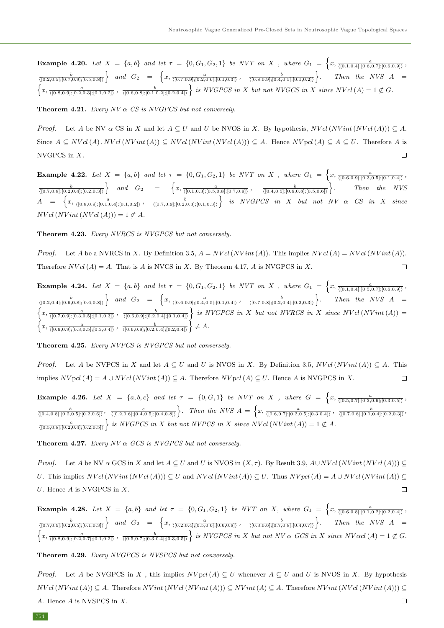**Example 4.20.** Let  $X = \{a, b\}$  and let  $\tau = \{0, G_1, G_2, 1\}$  be NVT on X, where  $G_1 = \left\{x, \frac{a}{([0.1, 0.4]; [0.6, 0.7]; [0.6, 0.9])}, \frac{a}{([0.1, 0.4], [0.6, 0.7]; [0.6, 0.9])}\right\}$  $\frac{b}{\langle [0.2,0.5];[0.7,0.9];[0.5,0.8]\rangle}$  and  $G_2 = \left\{x, \frac{a}{\langle [0.7,0.9];[0.2,0.6];[0.1,0.3]\rangle}, \frac{b}{\langle [0.8,0.9];[0.4,0.5];[0.1,0.2]\rangle} \right\}.$  Then the NVS A  $\left\{x, \frac{a}{\sqrt{(0.8,0.9]; [0.2,0.3]; [0.1,0.2])}} \right\}, \frac{b}{\sqrt{(0.6,0.8]; [0.1,0.2]; [0.2,0.4])}}\right\}$  is NVGPCS in X but not NVGCS in X since NV cl(A) = 1  $\not\in G$ .

**Theorem 4.21.** Every  $NV \alpha$  CS is NVGPCS but not conversely.

*Proof.* Let A be NV  $\alpha$  CS in X and let  $A \subseteq U$  and U be NVOS in X. By hypothesis,  $NVal(NVint(NVal(A))) \subseteq A$ . Since  $A \subseteq NVal(A)$ ,  $NVal(NVint(A)) \subseteq NVal(NVint(NVal(A))) \subseteq A$ . Hence  $NVol(A) \subseteq A \subseteq U$ . Therefore A is NVGPCS in X.  $\Box$ 

Example 4.22. Let  $X = \{a, b\}$  and let  $\tau = \{0, G_1, G_2, 1\}$  be NVT on X, where  $G_1 = \left\{x, \frac{a}{\sqrt{(0.6, 0.9], [0.3, 0.5], [0.1, 0.4]\right\}}\right\}$  $\frac{b}{\langle [0.7,0.8];[0.2,0.4];[0.2,0.3]\rangle}$  and  $G_2 = \left\{x, \frac{a}{\langle [0.1,0.3];[0.5,0.8];[0.7,0.9]\rangle}, \frac{b}{\langle [0.4,0.5];[0.6,0.8];[0.5,0.6]\rangle}\right\}.$  Then the NVS  $A = \left\{x, \frac{a}{([0.8,0.9]; [0.1,0.4]; [0.1,0.2])}, \frac{b}{([0.7,0.9]; [0.2,0.3]; [0.1,0.3])}\right\}$  is NVGPCS in X but not NV  $\alpha$  CS in X since  $NVol(NVint(NVol(A))) = 1 \not\subset A$ .

#### Theorem 4.23. Every NVRCS is NVGPCS but not conversely.

*Proof.* Let A be a NVRCS in X. By Definition 3.5,  $A = NVal(NVint(A))$ . This implies  $NVal(A) = NVal(NVint(A))$ . Therefore  $NVal(A) = A$ . That is A is NVCS in X. By Theorem 4.17, A is NVGPCS in X.  $\Box$ 

**Example 4.24.** Let  $X = \{a, b\}$  and let  $\tau = \{0, G_1, G_2, 1\}$  be NVT on X, where  $G_1 = \left\{x, \frac{a}{([0.1, 0.4]; [0.5, 0.7]; [0.6, 0.9])}, \frac{a}{([0.1, 0.4], [0.5, 0.7]; [0.6, 0.9])}\right\}$  $\frac{b}{\langle [0.2,0.4];[0.6,0.8];[0.6,0.8]\rangle}$  and  $G_2 = \left\{x, \frac{a}{\langle [0.6,0.9];[0.4,0.5];[0.1,0.4]\rangle}, \frac{b}{\langle [0.7,0.8];[0.2,0.4];[0.2,0.3]\rangle}\right\}$ . Then the NVS  $A =$  $\left\{x, \frac{a}{\sqrt{(0.7,0.9]; [0.3,0.5]; [0.1,0.3])}}, \frac{b}{\sqrt{(0.6,0.9]; [0.2,0.4]; [0.1,0.4])}}\right\}$  is NVGPCS in X but not NVRCS in X since NVcl(NVint(A)) =  $\left\{x, \frac{a}{\sqrt{[0.6,0.9]; [0.3,0.5]; [0.3,0.4]}}\right\}, \frac{b}{\sqrt{[0.6,0.8]; [0.2,0.4]; [0.2,0.4]}}\right\} \neq A.$ 

Theorem 4.25. Every NVPCS is NVGPCS but not conversely.

*Proof.* Let A be NVPCS in X and let  $A \subseteq U$  and U is NVOS in X. By Definition 3.5, NVcl(NVint(A))  $\subseteq A$ . This implies  $NVpd(A) = A \cup NVal(NVint(A)) \subseteq A$ . Therefore  $NVol(A) \subseteq U$ . Hence A is NVGPCS in X.  $\Box$ 

**Example 4.26.** Let  $X = \{a, b, c\}$  and let  $\tau = \{0, G, 1\}$  be NVT on X, where  $G = \{x, \frac{a}{\sqrt{(0.5, 0.7)}, [0.3, 0.6], [0.3, 0.5]}\}$  $\frac{b}{\langle [0.4,0.8];[0.2,0.5];[0.2,0.6]]}, \frac{c}{\langle [0.2,0.6];[0.4,0.5];[0.4,0.8]]}$ . Then the NVS  $A = \left\{x, \frac{a}{\langle [0.6,0.7];[0.2,0.5];[0.3,0.4]]}, \frac{b}{\langle [0.7,0.8];[0.1,0.4];[0.2,0.3]]}, \frac{b}{\langle [0.7,0.8];[0.1,0.4];[0.2,0.3]]} \right\}$  $\frac{c}{\sqrt{[0.5,0.8];[0.2,0.4];[0.2,0.5]}}$  is NVGPCS in X but not NVPCS in X since NV cl(NV int(A)) = 1  $\not\subset A$ .

**Theorem 4.27.** Every  $NV \alpha$  GCS is NVGPCS but not conversely.

*Proof.* Let A be NV  $\alpha$  GCS in X and let  $A \subseteq U$  and U is NVOS in  $(X, \tau)$ . By Result 3.9,  $A\cup NVal(NVint(NVal(A))) \subseteq$ U. This implies  $NVol(NVint(NVol(A))) \subseteq U$  and  $NVol(NVint(A)) \subseteq U$ . Thus  $NVol(A) = A \cup NVol(NVint(A)) \subseteq U$ U. Hence  $A$  is NVGPCS in  $X$ .  $\Box$ 

**Example 4.28.** Let  $X = \{a, b\}$  and let  $\tau = \{0, G_1, G_2, 1\}$  be NVT on X, where  $G_1 = \left\{x, \frac{a}{\sqrt{(0.6, 0.8], [0.1, 0.2], [0.2, 0.4]}}\right\}$  $\frac{b}{\langle [0.7,0.9];[0.2,0.5];[0.1,0.3]\rangle}$  and  $G_2 = \left\{x, \frac{a}{\langle [0.2,0.4];[0.5,0.6];[0.6,0.8]\rangle}, \frac{b}{\langle [0.3,0.6];[0.7,0.8];[0.4,0.7]\rangle} \right\}.$  Then the NVS  $A =$  $\left\{x, \frac{a}{\sqrt{(0.8,0.9]; [0.2,0.7]; [0.1,0.2])}}, \frac{b}{\sqrt{(0.5,0.7]; [0.3,0.4]; [0.3,0.5])}}\right\}$  is NVGPCS in X but not NV  $\alpha$  GCS in X since NV $\alpha$ cl(A) = 1  $\not\in G$ .

Theorem 4.29. Every NVGPCS is NVSPCS but not conversely.

*Proof.* Let A be NVGPCS in X, this implies  $NVpd(A) \subseteq U$  whenever  $A \subseteq U$  and U is NVOS in X. By hypothesis  $NVol(NVint(A)) \subseteq A$ . Therefore  $NVint(NVal(NVint(A))) \subseteq NVint(A) \subseteq A$ . Therefore  $NVint(NVal(NVint(A))) \subseteq A$ A. Hence A is NVSPCS in X.  $\Box$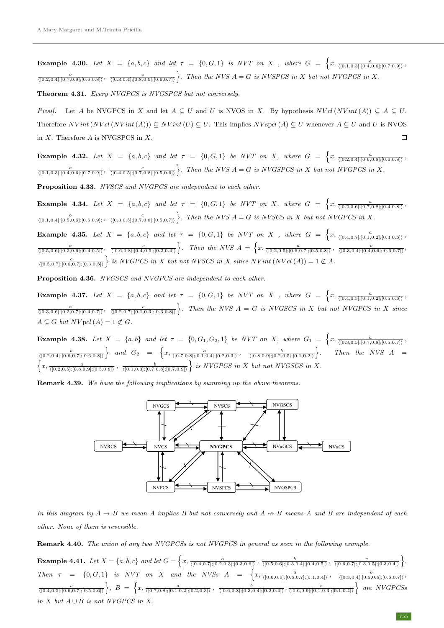**Example 4.30.** Let  $X = \{a, b, c\}$  and let  $\tau = \{0, G, 1\}$  is NVT on X, where  $G = \left\{x, \frac{a}{([0.1, 0.3]; [0.4, 0.6]; [0.7, 0.9])}, x\right\}$  $\frac{b}{([0.2,0.4];[0.7,0.9];[0.6,0.8])}$ ,  $\frac{c}{([0.3,0.4];[0.8,0.9];[0.6,0.7])}$ . Then the NVS  $A = G$  is NVSPCS in X but not NVGPCS in X.

Theorem 4.31. Every NVGPCS is NVGSPCS but not conversely.

*Proof.* Let A be NVGPCS in X and let  $A \subseteq U$  and U is NVOS in X. By hypothesis  $NVal(NVint(A)) \subseteq A \subseteq U$ . Therefore  $NVint(NVal(NVint(A))) \subseteq NVint(U) \subseteq U$ . This implies  $NVspcl(A) \subseteq U$  whenever  $A \subseteq U$  and U is NVOS in X. Therefore A is NVGSPCS in X.  $\Box$ 

**Example 4.32.** Let  $X = \{a, b, c\}$  and let  $\tau = \{0, G, 1\}$  be NVT on X, where  $G = \{x, \frac{a}{([0.2, 0.4]; [0.6, 0.8]; [0.6, 0.8])}, x\}$  $\frac{b}{([0.1,0.3];[0.4,0.6];[0.7,0.9])}$ ,  $\frac{c}{([0.4,0.5];[0.7,0.8];[0.5,0.6])}$ . Then the NVS  $A = G$  is NVGSPCS in X but not NVGPCS in X.

Proposition 4.33. NVSCS and NVGPCS are independent to each other.

**Example 4.34.** Let  $X = \{a, b, c\}$  and let  $\tau = \{0, G, 1\}$  be NVT on X, where  $G = \{x, \frac{a}{\sqrt{(0.2, 0.6)}, [0.7, 0.8], [0.4, 0.8]\}}$  $\frac{b}{([0.1,0.4];[0.5,0.6];[0.6,0.9])}$ ,  $\frac{c}{([0.3,0.5];[0.7,0.8];[0.5,0.7])}$ . Then the NVS  $A = G$  is NVSCS in X but not NVGPCS in X.

**Example 4.35.** Let  $X = \{a, b, c\}$  and let  $\tau = \{0, G, 1\}$  be NVT on X, where  $G = \left\{x, \frac{a}{\sqrt{(0.4, 0.7]; [0.1, 0.2]; [0.3, 0.6])}}\right\}$  $\frac{b}{([0.5,0.6];[0.2,0.6];[0.4,0.5])}, \frac{c}{([0.6,0.8];[0.4,0.5];[0.2,0.4])}$ . Then the NVS  $A = \left\{x, \frac{a}{([0.2,0.5];[0.6,0.7];[0.5,0.8])}, \frac{b}{([0.3,0.4];[0.4,0.6];[0.6,0.7])}\right\}$  $\frac{c}{\sqrt{[0.5,0.7];[0.6,0.7];[0.3,0.5]}}$  is NVGPCS in X but not NVSCS in X since NV int (NV cl(A)) = 1  $\notsubset A$ .

Proposition 4.36. NVGSCS and NVGPCS are independent to each other.

**Example 4.37.** Let  $X = \{a, b, c\}$  and let  $\tau = \{0, G, 1\}$  be NVT on X, where  $G = \{x, \frac{a}{\sqrt{(0.4, 0.5)}, [0.1, 0.2], [0.5, 0.6]} \}$  $\frac{b}{([0.3,0.6];[0.2,0.7];[0.4,0.7])}$ ,  $\frac{c}{([0.2,0.7];[0.1,0.3];[0.3,0.8])}$ . Then the NVS  $A = G$  is NVGSCS in X but not NVGPCS in X since  $A \subseteq G$  but  $N Vpcl(A) = 1 \nsubseteq G$ .

**Example 4.38.** Let  $X = \{a, b\}$  and let  $\tau = \{0, G_1, G_2, 1\}$  be NVT on X, where  $G_1 = \left\{x, \frac{a}{\sqrt{(0.3, 0.5]; [0.7, 0.8]; [0.5, 0.7]}}\right\}$  $\frac{b}{\langle [0.2,0.4]; [0.6,0.7]; [0.6,0.8]\rangle}$  and  $G_2 = \left\{x, \frac{a}{\langle [0.7,0.8]; [0.1,0.4]; [0.2,0.3]\rangle}, \frac{b}{\langle [0.8,0.9]; [0.2,0.5]; [0.1,0.2]\rangle}\right\}$ Then the NVS  $A =$  $\left\{x, \frac{a}{\sqrt{(0.2,0.5];[0.8,0.9];[0.5,0.8])}}, \frac{b}{\sqrt{(0.1,0.3];[0.7,0.8];[0.7,0.9])}}\right\}$  is NVGPCS in X but not NVGSCS in X.

**Remark 4.39.** We have the following implications by summing up the above theorems.



In this diagram by  $A \to B$  we mean A implies B but not conversely and  $A \leftrightarrow B$  means A and B are independent of each other. None of them is reversible.

Remark 4.40. The union of any two NVGPCSs is not NVGPCS in general as seen in the following example.

 $\textbf{Example 4.41.}$  Let  $X = \{a, b, c\}$  and let  $G = \left\{x, \frac{a}{\langle [0.4, 0.7]; [0.2, 0.3]; [0.3, 0.6]\rangle}, \frac{b}{\langle [0.5, 0.6]; [0.3, 0.4]; [0.4, 0.5]\rangle}, \frac{c}{\langle [0.6, 0.7]; [0.3, 0.5]; [0.3, 0.4]\rangle}\right\}.$ Then  $\tau = \{0, G, 1\}$  is NVT on X and the NVSs  $A = \begin{cases} x, \frac{a}{\{(0.6, 0.9], [0.6, 0.7], [0.1, 0.4]\}} \\ \end{cases}$ ,  $\frac{b}{\{(0.3, 0.4], [0.5, 0.6], [0.6, 0.7]\}}$  $\frac{c}{\langle [0.4,0.5];[0.6,0.7];[0.5,0.6]\rangle} \bigg\},\; B\; =\; \Big\{ x, \frac{a}{\langle [0.7,0.8];[0.1,0.2];[0.2,0.3]\rangle}\;,\; \frac{b}{\langle [0.6,0.8];[0.3,0.4];[0.2,0.4]\rangle}, \frac{c}{\langle [0.6,0.9];[0.1,0.3];[0.1,0.4]\rangle} \Big\} \;\; are\;\; NVGPCSs$ in  $X$  but  $A ∪ B$  is not NVGPCS in  $X$ .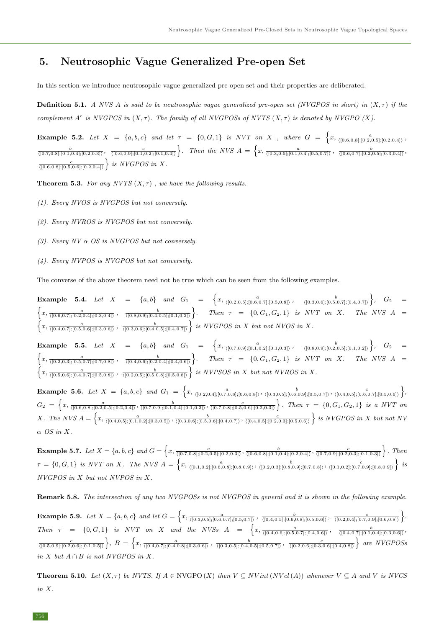# 5. Neutrosophic Vague Generalized Pre-open Set

In this section we introduce neutrosophic vague generalized pre-open set and their properties are deliberated.

**Definition 5.1.** A NVS A is said to be neutrosophic vague generalized pre-open set (NVGPOS in short) in  $(X, \tau)$  if the complement  $A^c$  is NVGPCS in  $(X, \tau)$ . The family of all NVGPOSs of NVTS  $(X, \tau)$  is denoted by NVGPO  $(X)$ .

**Example 5.2.** Let  $X = \{a, b, c\}$  and let  $\tau = \{0, G, 1\}$  is NVT on X, where  $G = \{x, \frac{a}{\sqrt{(0.6, 0.8], [0.2, 0.5], [0.2, 0.4]\}}\}$  $\frac{b}{\langle [0.7,0.8];[0.1,0.4];[0.2,0.3]\rangle}$ ,  $\frac{c}{\langle [0.6,0.9];[0.1,0.2];[0.1,0.4]\rangle}$ . Then the NVS  $A = \left\{x, \frac{a}{\langle [0.3,0.5];[0.1,0.4];[0.5,0.7]\rangle}$ ,  $\frac{b}{\langle [0.6,0.7];[0.2,0.5];[0.3,0.4]\rangle}$  $\frac{c}{\langle 0.6, 0.8], [0.5, 0.6], [0.2, 0.4]\rangle}$  is NVGPOS in X.

**Theorem 5.3.** For any NVTS  $(X, \tau)$ , we have the following results.

- (1). Every NVOS is NVGPOS but not conversely.
- (2). Every NVROS is NVGPOS but not conversely.
- (3). Every  $NV \alpha$  OS is NVGPOS but not conversely.
- (4). Every NVPOS is NVGPOS but not conversely.

The converse of the above theorem need not be true which can be seen from the following examples.

**Example 5.4.** Let  $X = \{a, b\}$  and  $G_1 = \{x, \frac{a}{([0.2, 0.5]; [0.6, 0.7]; [0.5, 0.8])}, \frac{b}{([0.3, 0.6]; [0.5, 0.7]; [0.4, 0.7])}\},\ G_2 =$  $\left\{x, \frac{a}{\sqrt{(0.6, 0.7]; [0.2, 0.4]; [0.3, 0.4]}}, \frac{b}{\sqrt{(0.8, 0.9]; [0.4, 0.5]; [0.1, 0.2]}}\right\}.$  Then  $\tau = \{0, G_1, G_2, 1\}$  is NVT on X. The NVS A =  $\left\{x, \frac{a}{\sqrt{(0.4, 0.7]; [0.5, 0.6]; [0.3, 0.6])}}$ ,  $\frac{b}{\sqrt{(0.3, 0.6]; [0.4, 0.5]; [0.4, 0.7])}}\right\}$  is NVGPOS in X but not NVOS in X.

**Example 5.5.** Let  $X = \{a, b\}$  and  $G_1 = \{x, \frac{a}{([0.7, 0.9]; [0.1, 0.2]; [0.1, 0.3])}, \frac{b}{([0.8, 0.9]; [0.2, 0.5]; [0.1, 0.2])}\},\ G_2 =$  $\left\{x, \frac{a}{\sqrt{(0.2,0.3];[0.5,0.7];[0.7,0.8])}}, \frac{b}{\sqrt{(0.4,0.6];[0.2,0.4];[0.4,0.6])}}\right\}.$  Then  $\tau = \{0, G_1, G_2, 1\}$  is NVT on X. The NVS A =  $\left\{x, \frac{a}{\sqrt{(0.5,0.6];[0.4,0.7];[0.5,0.8])}}\right\}, \frac{b}{\sqrt{(0.2,0.5];[0.5,0.8];[0.5,0.8])}}\right\}$  is NVPSOS in X but not NVROS in X.

**Example 5.6.** Let  $X = \{a, b, c\}$  and  $G_1 = \left\{x, \frac{a}{\sqrt{(0.2, 0.4]; [0.7, 0.8]; [0.6, 0.8])}}$ ,  $\frac{b}{\sqrt{(0.3, 0.5]; [0.6, 0.9]; [0.5, 0.7])}}$ ,  $\frac{c}{\sqrt{(0.4, 0.5]; [0.6, 0.7]; [0.5, 0.6])}}\right\}$  $G_2 \ =\ \left\{ x, \frac{a}{\langle [0.6,0.8]; [0.2,0.5]; [0.2,0.4]\rangle}, \frac{b}{\langle [0.7,0.9]; [0.1,0.4]; [0.1,0.3]\rangle}, \frac{c}{\langle [0.7,0.8]; [0.5,0.6]; [0.2,0.3]\rangle} \right\}.$  Then  $\tau \ =\ \left\{ 0, G_1, G_2, 1\right\}$  is a NVT on  $X.$  The NVS  $A = \left\{x, \frac{a}{\sqrt{(0.4, 0.5\}, [0.1, 0.2]; [0.3, 0.5])}, \frac{b}{\sqrt{(0.3, 0.6], [0.5, 0.6], [0.4, 0.7])}}, \frac{c}{\sqrt{(0.4, 0.5], [0.2, 0.3], [0.5, 0.6])}}\right\}$  is NVGPOS in X but not NV  $\alpha$  OS in X.

**Example 5.7.** Let  $X = \{a, b, c\}$  and  $G = \left\{x, \frac{a}{\sqrt{(0.7, 0.8], [0.2, 0.5], [0.2, 0.3]})}, \frac{b}{\sqrt{(0.6, 0.8], [0.1, 0.4], [0.2, 0.4]})}, \frac{c}{\sqrt{(0.7, 0.9], [0.2, 0.3], [0.1, 0.3]})}}\right\}$ . Then  $\tau = \{0, G, 1\}$  is NVT on X. The NVS  $A = \left\{x, \frac{a}{\langle [0.1, 0.2]; [0.6, 0.8]; [0.8, 0.9]\rangle}, \frac{b}{\langle [0.2, 0.3]; [0.8, 0.9]; [0.7, 0.8]\rangle}, \frac{c}{\langle [0.1, 0.2]; [0.7, 0.9]\rangle}, \frac{c}{\langle [0.1, 0.2]; [0.8, 0.9]\rangle}\right\}$ NVGPOS in X but not NVPOS in X.

Remark 5.8. The intersection of any two NVGPOSs is not NVGPOS in general and it is shown in the following example.

**Example 5.9.** Let  $X = \{a, b, c\}$  and let  $G = \left\{x, \frac{a}{\langle [0.3, 0.5]; [0.6, 0.7]; [0.5, 0.7]\rangle}, \frac{b}{\langle [0.4, 0.5]; [0.6, 0.8]; [0.5, 0.6]\rangle}, \frac{c}{\langle [0.2, 0.4]; [0.7, 0.9]; [0.6, 0.8]\rangle}\right\}$ Then  $\tau = \{0, G, 1\}$  is NVT on X and the NVSs  $A = \begin{cases} x, \frac{a}{\{(0.4, 0.6], [0.5, 0.7], [0.4, 0.6]\}} \\ \end{cases}$ ,  $\frac{b}{\{(0.4, 0.7], [0.1, 0.4], [0.3, 0.6]\}}$  $\frac{c}{\langle [0.5,0.9];[0.2,0.6];[0.1,0.5]\rangle} \Big\},\ B=\Big\{x, \frac{a}{\langle [0.4,0.7];[0.4,0.8];[0.3,0.6]\rangle} \ ,\ \frac{b}{\langle [0.3,0.5];[0.4,0.5];[0.5,0.7]\rangle} \ ,\ \frac{c}{\langle [0.2,0.6];[0.3,0.6];[0.4,0.8]\rangle} \Big\}\ are\ NVGPOSS$ in  $X$  but  $A \cap B$  is not NVGPOS in  $X$ .

**Theorem 5.10.** Let  $(X, \tau)$  be NVTS. If  $A \in NVGPO(X)$  then  $V \subseteq NVint(NVcl(A))$  whenever  $V \subseteq A$  and V is NVCS in X.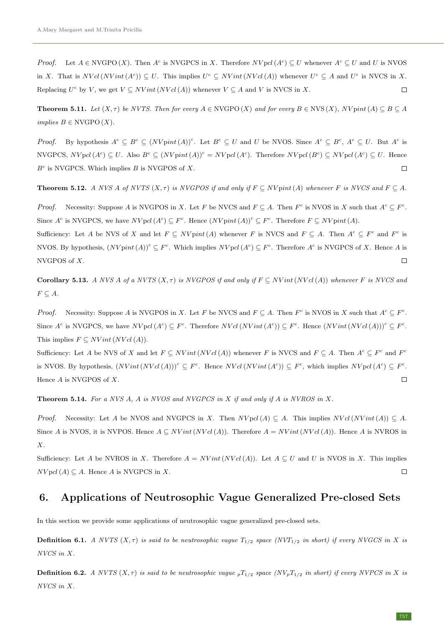*Proof.* Let  $A \in NVGPO(X)$ . Then  $A^c$  is NVGPCS in X. Therefore  $NVpcl(A^c) \subseteq U$  whenever  $A^c \subseteq U$  and U is NVOS in X. That is  $NVal(Nint(A^c)) \subseteq U$ . This implies  $U^c \subseteq NVint(NVal(A))$  whenever  $U^c \subseteq A$  and  $U^c$  is NVCS in X. Replacing  $U^c$  by V, we get  $V \subseteq NVint(NVcl(A))$  whenever  $V \subseteq A$  and V is NVCS in X.  $\Box$ 

**Theorem 5.11.** Let  $(X, \tau)$  be NVTS. Then for every  $A \in NVGPO(X)$  and for every  $B \in NVS(X)$ ,  $NV$  pint $(A) \subseteq B \subseteq A$  $implies B \in NVGPO(X).$ 

*Proof.* By hypothesis  $A^c \subseteq B^c \subseteq (N V \text{pint}(A))^c$ . Let  $B^c \subseteq U$  and U be NVOS. Since  $A^c \subseteq B^c$ ,  $A^c \subseteq U$ . But  $A^c$  is  $NVGPCS, NVpd (A<sup>c</sup>) \subseteq U$ . Also  $B<sup>c</sup> \subseteq (NVpint (A))<sup>c</sup> = NVpd (A<sup>c</sup>)$ . Therefore  $NVpd (B<sup>c</sup>) \subseteq NVpd (A<sup>c</sup>) \subseteq U$ . Hence  $B<sup>c</sup>$  is NVGPCS. Which implies  $B$  is NVGPOS of  $X$ .  $\Box$ 

**Theorem 5.12.** A NVS A of NVTS  $(X, \tau)$  is NVGPOS if and only if  $F \subseteq N V$  pint (A) whenever F is NVCS and  $F \subseteq A$ .

*Proof.* Necessity: Suppose A is NVGPOS in X. Let F be NVCS and  $F \subseteq A$ . Then  $F^c$  is NVOS in X such that  $A^c \subseteq F^c$ . Since  $A^c$  is NVGPCS, we have  $N V pol (A^c) \subseteq F^c$ . Hence  $(N V point (A))^c \subseteq F^c$ . Therefore  $F \subseteq N V point (A)$ .

Sufficiency: Let A be NVS of X and let  $F \subseteq N V$  pint (A) whenever F is NVCS and  $F \subseteq A$ . Then  $A^c \subseteq F^c$  and  $F^c$  is NVOS. By hypothesis,  $(NV$ pint $(A))^c \subseteq F^c$ . Which implies  $NV$ pcl $(A^c) \subseteq F^c$ . Therefore  $A^c$  is NVGPCS of X. Hence A is NVGPOS of X.  $\Box$ 

Corollary 5.13. A NVS A of a NVTS  $(X, \tau)$  is NVGPOS if and only if  $F \subseteq N Vint(N Vcl(A))$  whenever F is NVCS and  $F \subseteq A$ .

*Proof.* Necessity: Suppose A is NVGPOS in X. Let F be NVCS and  $F \subseteq A$ . Then  $F^c$  is NVOS in X such that  $A^c \subseteq F^c$ . Since  $A^c$  is NVGPCS, we have  $NVol(A^c) \subseteq F^c$ . Therefore  $NVol(NVint(A^c)) \subseteq F^c$ . Hence  $(NVint(NVol(A)))^c \subseteq F^c$ . This implies  $F \subseteq N Vint (N V c l(A)).$ 

Sufficiency: Let A be NVS of X and let  $F \subseteq N Vint(NVcl(A))$  whenever F is NVCS and  $F \subseteq A$ . Then  $A^c \subseteq F^c$  and  $F^c$ is NVOS. By hypothesis,  $(NVint(NVcl(A)))^c \subseteq F^c$ . Hence  $NVol(NVint(A^c)) \subseteq F^c$ , which implies  $NVol(A^c) \subseteq F^c$ . Hence  $A$  is NVGPOS of  $X$ .  $\Box$ 

**Theorem 5.14.** For a NVS  $A$ ,  $A$  is NVOS and NVGPCS in  $X$  if and only if  $A$  is NVROS in  $X$ .

*Proof.* Necessity: Let A be NVOS and NVGPCS in X. Then  $NVol(A) \subseteq A$ . This implies  $NVol(NVint(A)) \subseteq A$ . Since A is NVOS, it is NVPOS. Hence  $A \subseteq N Vint(N Vcl(A))$ . Therefore  $A = N Vint(N Vcl(A))$ . Hence A is NVROS in  $X$ .

Sufficiency: Let A be NVROS in X. Therefore  $A = N Vint(N V c l(A))$ . Let  $A \subseteq U$  and U is NVOS in X. This implies  $NV$  pcl(A)  $\subseteq$  A. Hence A is NVGPCS in X.  $\Box$ 

### 6. Applications of Neutrosophic Vague Generalized Pre-closed Sets

In this section we provide some applications of neutrosophic vague generalized pre-closed sets.

**Definition 6.1.** A NVTS  $(X, \tau)$  is said to be neutrosophic vague  $T_{1/2}$  space (NVT<sub>1/2</sub> in short) if every NVGCS in X is NVCS in X.

**Definition 6.2.** A NVTS  $(X, \tau)$  is said to be neutrosophic vague  $pT_{1/2}$  space  $(Nv_pT_{1/2}$  in short) if every NVPCS in X is NVCS in X.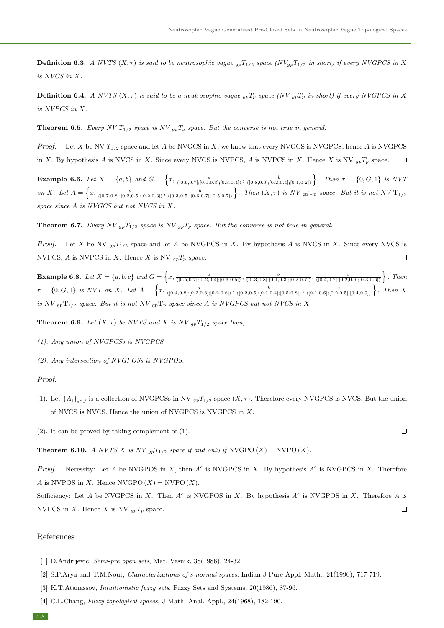**Definition 6.3.** A NVTS  $(X, \tau)$  is said to be neutrosophic vague  $_{gp}T_{1/2}$  space  $(NV_{gp}T_{1/2}$  in short) if every NVGPCS in X is NVCS in X.

**Definition 6.4.** A NVTS  $(X, \tau)$  is said to be a neutrosophic vague  $_{qp}T_p$  space (NV  $_{qp}T_p$  in short) if every NVGPCS in X is NVPCS in X.

**Theorem 6.5.** Every NV  $T_{1/2}$  space is NV  $_{qp}T_p$  space. But the converse is not true in general.

*Proof.* Let X be NV  $T_{1/2}$  space and let A be NVGCS in X, we know that every NVGCS is NVGPCS, hence A is NVGPCS in X. By hypothesis A is NVCS in X. Since every NVCS is NVPCS, A is NVPCS in X. Hence X is NV  $_{ap}T_p$  space.  $\Box$ 

**Example 6.6.** Let  $X = \{a, b\}$  and  $G = \left\{x, \frac{a}{\langle [0.6, 0.7]; [0.1, 0.3]; [0.3, 0.4]\rangle}, \frac{b}{\langle [0.8, 0.9]; [0.2, 0.4]; [0.1, 0.2]\rangle}\right\}$ . Then  $\tau = \{0, G, 1\}$  is NVT on X. Let  $A = \left\{x, \frac{a}{\sqrt{(0.7,0.8)},[0.2,0.5],[0.2,0.3]}\right\}, \frac{b}{\sqrt{(0.3,0.5)},[0.6,0.7],[0.5,0.7]}\right\}.$  Then  $(X, \tau)$  is NV  $_{\text{gp}}$  T<sub>p</sub> space. But it is not NV T<sub>1/2</sub> space since A is NVGCS but not NVCS in X.

**Theorem 6.7.** Every NV  $_{qp}T_{1/2}$  space is NV  $_{qp}T_p$  space. But the converse is not true in general.

*Proof.* Let X be NV  $_{qp}T_{1/2}$  space and let A be NVGPCS in X. By hypothesis A is NVCS in X. Since every NVCS is NVPCS, A is NVPCS in X. Hence X is NV  $_{qn}T_p$  space.  $\Box$ 

**Example 6.8.** Let  $X = \{a, b, c\}$  and  $G = \left\{x, \frac{a}{\sqrt{(0.5, 0.7], [0.2, 0.4], [0.3, 0.5]})}, \frac{b}{\sqrt{(0.3, 0.8], [0.1, 0.3], [0.2, 0.7]})}, \frac{c}{\sqrt{(0.4, 0.7], [0.2, 0.6], [0.3, 0.6]})}}\right\}$ . Then  $\tau = \{0, G, 1\}$  is NVT on X. Let  $A = \left\{x, \frac{a}{\langle [0.4, 0.8]; [0.2, 0.8]; [0.2, 0.6] \rangle}, \frac{b}{\langle [0.2, 0.5]; [0.1, 0.4]; [0.5, 0.8] \rangle}, \frac{c}{\langle [0.1, 0.6]; [0.2, 0.5]; [0.4, 0.9] \rangle}\right\}$ . Then X is NV  $_{\text{gp}}$  $T_{1/2}$  space. But it is not NV  $_{\text{gp}}$  $T_{\text{p}}$  space since A is NVGPCS but not NVCS in X.

**Theorem 6.9.** Let  $(X, \tau)$  be NVTS and X is NV  $_{gp}T_{1/2}$  space then,

- (1). Any union of NVGPCSs is NVGPCS
- (2). Any intersection of NVGPOSs is NVGPOS.

### Proof.

- (1). Let  $\{A_i\}_{i\in J}$  is a collection of NVGPCSs in NV  $_{gp}T_{1/2}$  space  $(X, \tau)$ . Therefore every NVGPCS is NVCS. But the union of NVCS is NVCS. Hence the union of NVGPCS is NVGPCS in X.
- (2). It can be proved by taking complement of (1).

**Theorem 6.10.** A NVTS X is NV  $_{gp}T_{1/2}$  space if and only if NVGPO  $(X) =$  NVPO  $(X)$ .

*Proof.* Necessity: Let A be NVGPOS in X, then  $A^c$  is NVGPCS in X. By hypothesis  $A^c$  is NVGPCS in X. Therefore A is NVPOS in X. Hence NVGPO  $(X)$  = NVPO  $(X)$ .

Sufficiency: Let A be NVGPCS in X. Then  $A^c$  is NVGPOS in X. By hypothesis  $A^c$  is NVGPOS in X. Therefore A is NVPCS in X. Hence X is NV  $_{gp}T_p$  space.  $\Box$ 

### References

 $\Box$ 

<sup>[1]</sup> D.Andrijevic, Semi-pre open sets, Mat. Vesnik, 38(1986), 24-32.

<span id="page-11-1"></span><sup>[2]</sup> S.P.Arya and T.M.Nour, Characterizations of s-normal spaces, Indian J Pure Appl. Math., 21(1990), 717-719.

<span id="page-11-0"></span><sup>[3]</sup> K.T.Atanassov, Intuitionistic fuzzy sets, Fuzzy Sets and Systems, 20(1986), 87-96.

<sup>[4]</sup> C.L.Chang, *Fuzzy topological spaces*, J Math. Anal. Appl., 24(1968), 182-190.